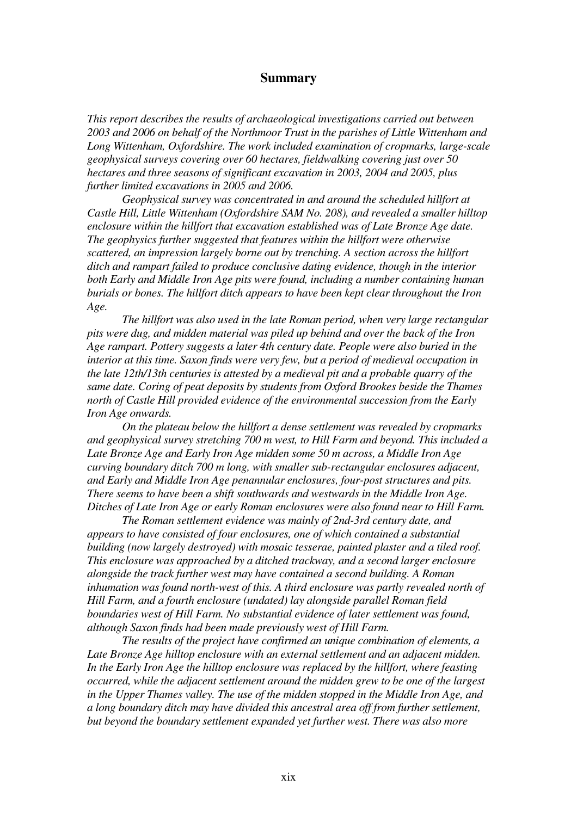## **Summary**

*This report describes the results of archaeological investigations carried out between 2003 and 2006 on behalf of the Northmoor Trust in the parishes of Little Wittenham and Long Wittenham, Oxfordshire. The work included examination of cropmarks, large-scale geophysical surveys covering over 60 hectares, fieldwalking covering just over 50 hectares and three seasons of significant excavation in 2003, 2004 and 2005, plus further limited excavations in 2005 and 2006.* 

 *Geophysical survey was concentrated in and around the scheduled hillfort at Castle Hill, Little Wittenham (Oxfordshire SAM No. 208), and revealed a smaller hilltop enclosure within the hillfort that excavation established was of Late Bronze Age date. The geophysics further suggested that features within the hillfort were otherwise scattered, an impression largely borne out by trenching. A section across the hillfort ditch and rampart failed to produce conclusive dating evidence, though in the interior both Early and Middle Iron Age pits were found, including a number containing human burials or bones. The hillfort ditch appears to have been kept clear throughout the Iron Age.* 

 *The hillfort was also used in the late Roman period, when very large rectangular pits were dug, and midden material was piled up behind and over the back of the Iron Age rampart. Pottery suggests a later 4th century date. People were also buried in the interior at this time. Saxon finds were very few, but a period of medieval occupation in the late 12th/13th centuries is attested by a medieval pit and a probable quarry of the same date. Coring of peat deposits by students from Oxford Brookes beside the Thames north of Castle Hill provided evidence of the environmental succession from the Early Iron Age onwards.* 

 *On the plateau below the hillfort a dense settlement was revealed by cropmarks and geophysical survey stretching 700 m west, to Hill Farm and beyond. This included a Late Bronze Age and Early Iron Age midden some 50 m across, a Middle Iron Age curving boundary ditch 700 m long, with smaller sub-rectangular enclosures adjacent, and Early and Middle Iron Age penannular enclosures, four-post structures and pits. There seems to have been a shift southwards and westwards in the Middle Iron Age. Ditches of Late Iron Age or early Roman enclosures were also found near to Hill Farm.* 

 *The Roman settlement evidence was mainly of 2nd-3rd century date, and appears to have consisted of four enclosures, one of which contained a substantial building (now largely destroyed) with mosaic tesserae, painted plaster and a tiled roof. This enclosure was approached by a ditched trackway, and a second larger enclosure alongside the track further west may have contained a second building. A Roman inhumation was found north-west of this. A third enclosure was partly revealed north of Hill Farm, and a fourth enclosure (undated) lay alongside parallel Roman field boundaries west of Hill Farm. No substantial evidence of later settlement was found, although Saxon finds had been made previously west of Hill Farm.* 

 *The results of the project have confirmed an unique combination of elements, a Late Bronze Age hilltop enclosure with an external settlement and an adjacent midden. In the Early Iron Age the hilltop enclosure was replaced by the hillfort, where feasting occurred, while the adjacent settlement around the midden grew to be one of the largest in the Upper Thames valley. The use of the midden stopped in the Middle Iron Age, and a long boundary ditch may have divided this ancestral area off from further settlement, but beyond the boundary settlement expanded yet further west. There was also more*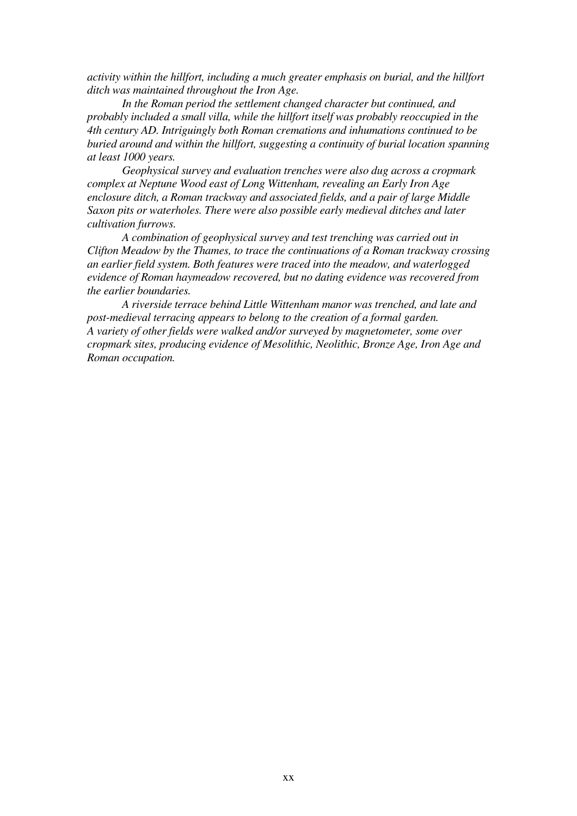*activity within the hillfort, including a much greater emphasis on burial, and the hillfort ditch was maintained throughout the Iron Age.* 

 *In the Roman period the settlement changed character but continued, and probably included a small villa, while the hillfort itself was probably reoccupied in the 4th century AD. Intriguingly both Roman cremations and inhumations continued to be buried around and within the hillfort, suggesting a continuity of burial location spanning at least 1000 years.* 

 *Geophysical survey and evaluation trenches were also dug across a cropmark complex at Neptune Wood east of Long Wittenham, revealing an Early Iron Age enclosure ditch, a Roman trackway and associated fields, and a pair of large Middle Saxon pits or waterholes. There were also possible early medieval ditches and later cultivation furrows.* 

*A combination of geophysical survey and test trenching was carried out in Clifton Meadow by the Thames, to trace the continuations of a Roman trackway crossing an earlier field system. Both features were traced into the meadow, and waterlogged evidence of Roman haymeadow recovered, but no dating evidence was recovered from the earlier boundaries.* 

 *A riverside terrace behind Little Wittenham manor was trenched, and late and post-medieval terracing appears to belong to the creation of a formal garden. A variety of other fields were walked and/or surveyed by magnetometer, some over cropmark sites, producing evidence of Mesolithic, Neolithic, Bronze Age, Iron Age and Roman occupation.*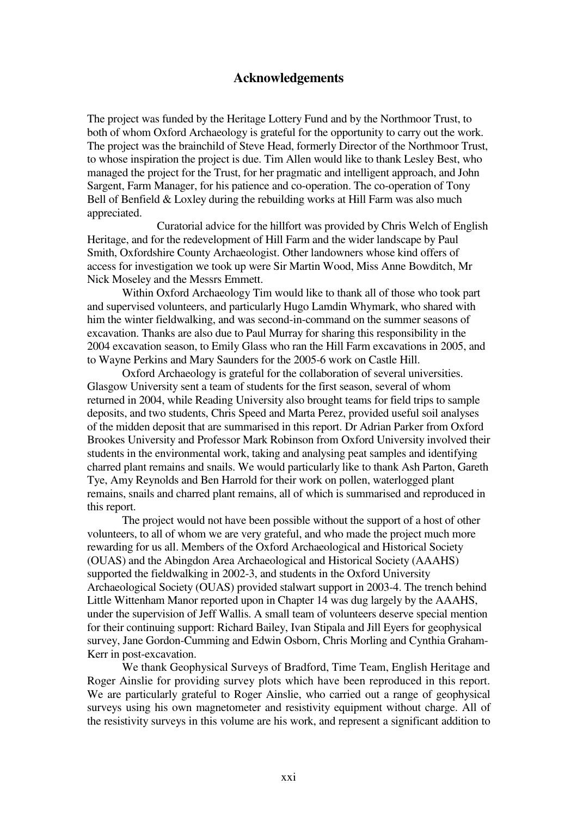## **Acknowledgements**

The project was funded by the Heritage Lottery Fund and by the Northmoor Trust, to both of whom Oxford Archaeology is grateful for the opportunity to carry out the work. The project was the brainchild of Steve Head, formerly Director of the Northmoor Trust, to whose inspiration the project is due. Tim Allen would like to thank Lesley Best, who managed the project for the Trust, for her pragmatic and intelligent approach, and John Sargent, Farm Manager, for his patience and co-operation. The co-operation of Tony Bell of Benfield & Loxley during the rebuilding works at Hill Farm was also much appreciated.

 Curatorial advice for the hillfort was provided by Chris Welch of English Heritage, and for the redevelopment of Hill Farm and the wider landscape by Paul Smith, Oxfordshire County Archaeologist. Other landowners whose kind offers of access for investigation we took up were Sir Martin Wood, Miss Anne Bowditch, Mr Nick Moseley and the Messrs Emmett.

 Within Oxford Archaeology Tim would like to thank all of those who took part and supervised volunteers, and particularly Hugo Lamdin Whymark, who shared with him the winter fieldwalking, and was second-in-command on the summer seasons of excavation. Thanks are also due to Paul Murray for sharing this responsibility in the 2004 excavation season, to Emily Glass who ran the Hill Farm excavations in 2005, and to Wayne Perkins and Mary Saunders for the 2005-6 work on Castle Hill.

 Oxford Archaeology is grateful for the collaboration of several universities. Glasgow University sent a team of students for the first season, several of whom returned in 2004, while Reading University also brought teams for field trips to sample deposits, and two students, Chris Speed and Marta Perez, provided useful soil analyses of the midden deposit that are summarised in this report. Dr Adrian Parker from Oxford Brookes University and Professor Mark Robinson from Oxford University involved their students in the environmental work, taking and analysing peat samples and identifying charred plant remains and snails. We would particularly like to thank Ash Parton, Gareth Tye, Amy Reynolds and Ben Harrold for their work on pollen, waterlogged plant remains, snails and charred plant remains, all of which is summarised and reproduced in this report.

 The project would not have been possible without the support of a host of other volunteers, to all of whom we are very grateful, and who made the project much more rewarding for us all. Members of the Oxford Archaeological and Historical Society (OUAS) and the Abingdon Area Archaeological and Historical Society (AAAHS) supported the fieldwalking in 2002-3, and students in the Oxford University Archaeological Society (OUAS) provided stalwart support in 2003-4. The trench behind Little Wittenham Manor reported upon in Chapter 14 was dug largely by the AAAHS, under the supervision of Jeff Wallis. A small team of volunteers deserve special mention for their continuing support: Richard Bailey, Ivan Stipala and Jill Eyers for geophysical survey, Jane Gordon-Cumming and Edwin Osborn, Chris Morling and Cynthia Graham-Kerr in post-excavation.

We thank Geophysical Surveys of Bradford, Time Team, English Heritage and Roger Ainslie for providing survey plots which have been reproduced in this report. We are particularly grateful to Roger Ainslie, who carried out a range of geophysical surveys using his own magnetometer and resistivity equipment without charge. All of the resistivity surveys in this volume are his work, and represent a significant addition to